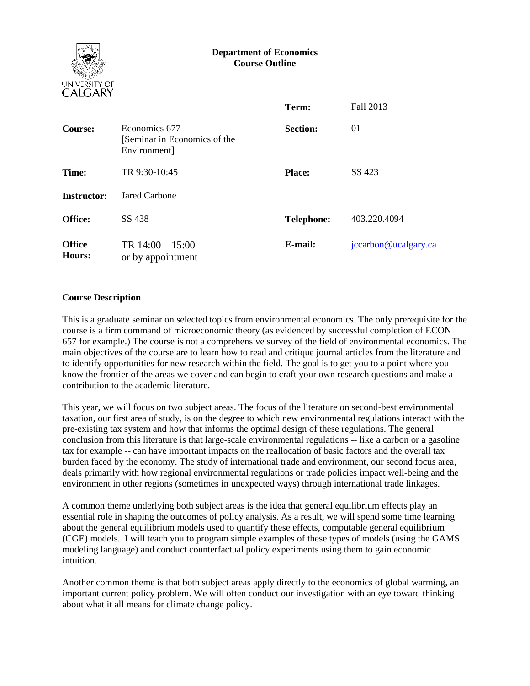### **Department of Economics Course Outline**



|                         |                                                               | Term:             | Fall 2013            |
|-------------------------|---------------------------------------------------------------|-------------------|----------------------|
| Course:                 | Economics 677<br>[Seminar in Economics of the<br>Environment] | <b>Section:</b>   | 01                   |
| Time:                   | TR 9:30-10:45                                                 | <b>Place:</b>     | SS 423               |
| <b>Instructor:</b>      | Jared Carbone                                                 |                   |                      |
| Office:                 | SS 438                                                        | <b>Telephone:</b> | 403.220.4094         |
| <b>Office</b><br>Hours: | TR $14:00 - 15:00$<br>or by appointment                       | E-mail:           | jccarbon@ucalgary.ca |

## **Course Description**

This is a graduate seminar on selected topics from environmental economics. The only prerequisite for the course is a firm command of microeconomic theory (as evidenced by successful completion of ECON 657 for example.) The course is not a comprehensive survey of the field of environmental economics. The main objectives of the course are to learn how to read and critique journal articles from the literature and to identify opportunities for new research within the field. The goal is to get you to a point where you know the frontier of the areas we cover and can begin to craft your own research questions and make a contribution to the academic literature.

This year, we will focus on two subject areas. The focus of the literature on second-best environmental taxation, our first area of study, is on the degree to which new environmental regulations interact with the pre-existing tax system and how that informs the optimal design of these regulations. The general conclusion from this literature is that large-scale environmental regulations -- like a carbon or a gasoline tax for example -- can have important impacts on the reallocation of basic factors and the overall tax burden faced by the economy. The study of international trade and environment, our second focus area, deals primarily with how regional environmental regulations or trade policies impact well-being and the environment in other regions (sometimes in unexpected ways) through international trade linkages.

A common theme underlying both subject areas is the idea that general equilibrium effects play an essential role in shaping the outcomes of policy analysis. As a result, we will spend some time learning about the general equilibrium models used to quantify these effects, computable general equilibrium (CGE) models. I will teach you to program simple examples of these types of models (using the GAMS modeling language) and conduct counterfactual policy experiments using them to gain economic intuition.

Another common theme is that both subject areas apply directly to the economics of global warming, an important current policy problem. We will often conduct our investigation with an eye toward thinking about what it all means for climate change policy.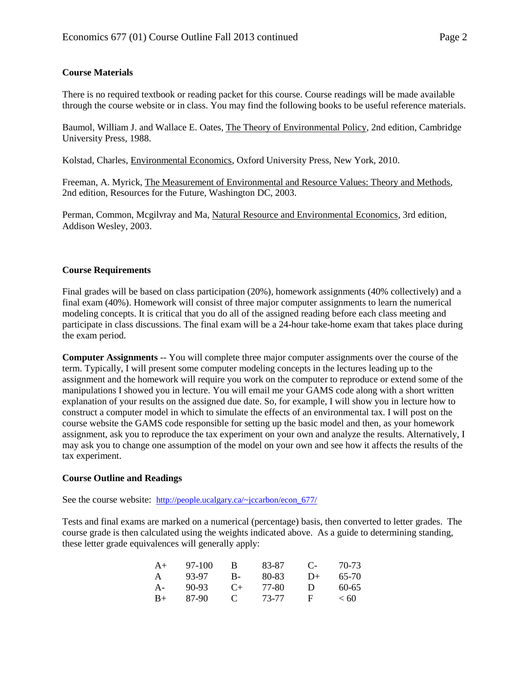## **Course Materials**

There is no required textbook or reading packet for this course. Course readings will be made available through the course website or in class. You may find the following books to be useful reference materials.

Baumol, William J. and Wallace E. Oates, The Theory of Environmental Policy, 2nd edition, Cambridge University Press, 1988.

Kolstad, Charles, Environmental Economics, Oxford University Press, New York, 2010.

Freeman, A. Myrick, The Measurement of Environmental and Resource Values: Theory and Methods, 2nd edition, Resources for the Future, Washington DC, 2003.

Perman, Common, Mcgilvray and Ma, Natural Resource and Environmental Economics, 3rd edition, Addison Wesley, 2003.

#### **Course Requirements**

Final grades will be based on class participation (20%), homework assignments (40% collectively) and a final exam (40%). Homework will consist of three major computer assignments to learn the numerical modeling concepts. It is critical that you do all of the assigned reading before each class meeting and participate in class discussions. The final exam will be a 24-hour take-home exam that takes place during the exam period.

**Computer Assignments** -- You will complete three major computer assignments over the course of the term. Typically, I will present some computer modeling concepts in the lectures leading up to the assignment and the homework will require you work on the computer to reproduce or extend some of the manipulations I showed you in lecture. You will email me your GAMS code along with a short written explanation of your results on the assigned due date. So, for example, I will show you in lecture how to construct a computer model in which to simulate the effects of an environmental tax. I will post on the course website the GAMS code responsible for setting up the basic model and then, as your homework assignment, ask you to reproduce the tax experiment on your own and analyze the results. Alternatively, I may ask you to change one assumption of the model on your own and see how it affects the results of the tax experiment.

#### **Course Outline and Readings**

See the course website: [http://people.ucalgary.ca/~jccarbon/econ\\_677/](http://people.ucalgary.ca/~jccarbon/econ_677/)

Tests and final exams are marked on a numerical (percentage) basis, then converted to letter grades. The course grade is then calculated using the weights indicated above. As a guide to determining standing, these letter grade equivalences will generally apply:

| $A+$ | 97-100  | В            | 83-87 | $\mathbb{C}$ | 70-73     |
|------|---------|--------------|-------|--------------|-----------|
| А    | 93-97   | В-           | 80-83 | $1+$         | 65-70     |
| A-   | $90-93$ | $($ +        | 77-80 | Ð            | $60 - 65$ |
| $R+$ | 87-90   | $\mathbf{C}$ | 73-77 | н            | < 60      |